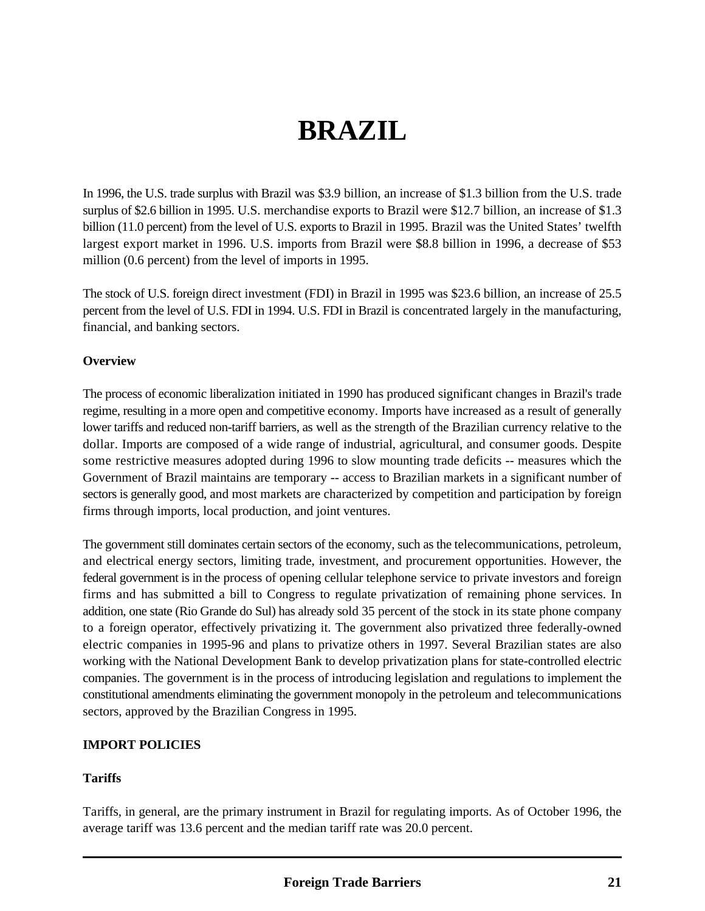# **BRAZIL**

In 1996, the U.S. trade surplus with Brazil was \$3.9 billion, an increase of \$1.3 billion from the U.S. trade surplus of \$2.6 billion in 1995. U.S. merchandise exports to Brazil were \$12.7 billion, an increase of \$1.3 billion (11.0 percent) from the level of U.S. exports to Brazil in 1995. Brazil was the United States' twelfth largest export market in 1996. U.S. imports from Brazil were \$8.8 billion in 1996, a decrease of \$53 million (0.6 percent) from the level of imports in 1995.

The stock of U.S. foreign direct investment (FDI) in Brazil in 1995 was \$23.6 billion, an increase of 25.5 percent from the level of U.S. FDI in 1994. U.S. FDI in Brazil is concentrated largely in the manufacturing, financial, and banking sectors.

### **Overview**

The process of economic liberalization initiated in 1990 has produced significant changes in Brazil's trade regime, resulting in a more open and competitive economy. Imports have increased as a result of generally lower tariffs and reduced non-tariff barriers, as well as the strength of the Brazilian currency relative to the dollar. Imports are composed of a wide range of industrial, agricultural, and consumer goods. Despite some restrictive measures adopted during 1996 to slow mounting trade deficits -- measures which the Government of Brazil maintains are temporary -- access to Brazilian markets in a significant number of sectors is generally good, and most markets are characterized by competition and participation by foreign firms through imports, local production, and joint ventures.

The government still dominates certain sectors of the economy, such as the telecommunications, petroleum, and electrical energy sectors, limiting trade, investment, and procurement opportunities. However, the federal government is in the process of opening cellular telephone service to private investors and foreign firms and has submitted a bill to Congress to regulate privatization of remaining phone services. In addition, one state (Rio Grande do Sul) has already sold 35 percent of the stock in its state phone company to a foreign operator, effectively privatizing it. The government also privatized three federally-owned electric companies in 1995-96 and plans to privatize others in 1997. Several Brazilian states are also working with the National Development Bank to develop privatization plans for state-controlled electric companies. The government is in the process of introducing legislation and regulations to implement the constitutional amendments eliminating the government monopoly in the petroleum and telecommunications sectors, approved by the Brazilian Congress in 1995.

#### **IMPORT POLICIES**

# **Tariffs**

Tariffs, in general, are the primary instrument in Brazil for regulating imports. As of October 1996, the average tariff was 13.6 percent and the median tariff rate was 20.0 percent.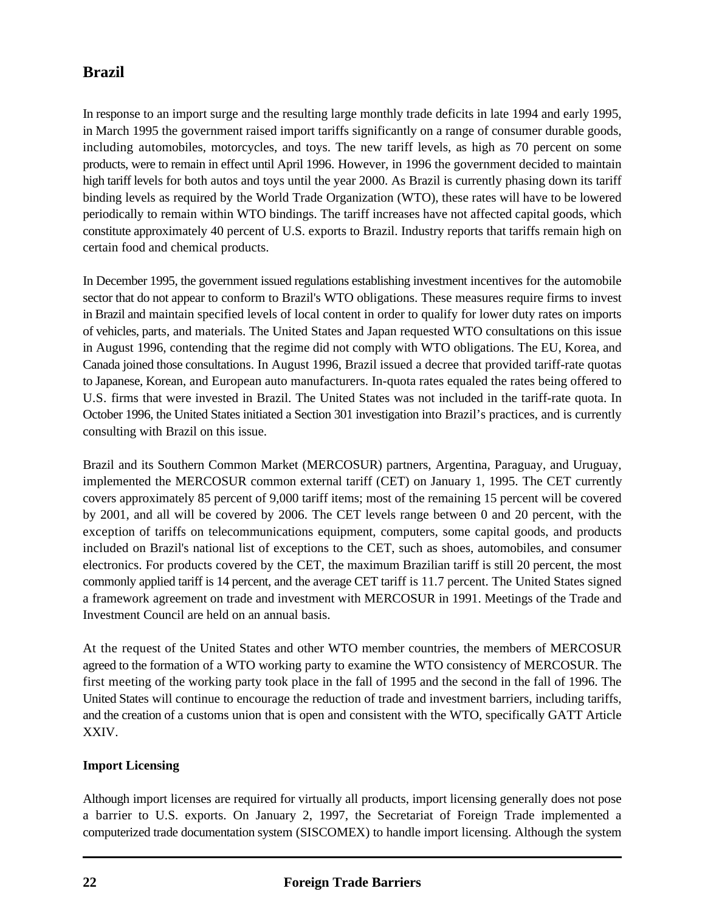In response to an import surge and the resulting large monthly trade deficits in late 1994 and early 1995, in March 1995 the government raised import tariffs significantly on a range of consumer durable goods, including automobiles, motorcycles, and toys. The new tariff levels, as high as 70 percent on some products, were to remain in effect until April 1996. However, in 1996 the government decided to maintain high tariff levels for both autos and toys until the year 2000. As Brazil is currently phasing down its tariff binding levels as required by the World Trade Organization (WTO), these rates will have to be lowered periodically to remain within WTO bindings. The tariff increases have not affected capital goods, which constitute approximately 40 percent of U.S. exports to Brazil. Industry reports that tariffs remain high on certain food and chemical products.

In December 1995, the government issued regulations establishing investment incentives for the automobile sector that do not appear to conform to Brazil's WTO obligations. These measures require firms to invest in Brazil and maintain specified levels of local content in order to qualify for lower duty rates on imports of vehicles, parts, and materials. The United States and Japan requested WTO consultations on this issue in August 1996, contending that the regime did not comply with WTO obligations. The EU, Korea, and Canada joined those consultations. In August 1996, Brazil issued a decree that provided tariff-rate quotas to Japanese, Korean, and European auto manufacturers. In-quota rates equaled the rates being offered to U.S. firms that were invested in Brazil. The United States was not included in the tariff-rate quota. In October 1996, the United States initiated a Section 301 investigation into Brazil's practices, and is currently consulting with Brazil on this issue.

Brazil and its Southern Common Market (MERCOSUR) partners, Argentina, Paraguay, and Uruguay, implemented the MERCOSUR common external tariff (CET) on January 1, 1995. The CET currently covers approximately 85 percent of 9,000 tariff items; most of the remaining 15 percent will be covered by 2001, and all will be covered by 2006. The CET levels range between 0 and 20 percent, with the exception of tariffs on telecommunications equipment, computers, some capital goods, and products included on Brazil's national list of exceptions to the CET, such as shoes, automobiles, and consumer electronics. For products covered by the CET, the maximum Brazilian tariff is still 20 percent, the most commonly applied tariff is 14 percent, and the average CET tariff is 11.7 percent. The United States signed a framework agreement on trade and investment with MERCOSUR in 1991. Meetings of the Trade and Investment Council are held on an annual basis.

At the request of the United States and other WTO member countries, the members of MERCOSUR agreed to the formation of a WTO working party to examine the WTO consistency of MERCOSUR. The first meeting of the working party took place in the fall of 1995 and the second in the fall of 1996. The United States will continue to encourage the reduction of trade and investment barriers, including tariffs, and the creation of a customs union that is open and consistent with the WTO, specifically GATT Article XXIV.

# **Import Licensing**

Although import licenses are required for virtually all products, import licensing generally does not pose a barrier to U.S. exports. On January 2, 1997, the Secretariat of Foreign Trade implemented a computerized trade documentation system (SISCOMEX) to handle import licensing. Although the system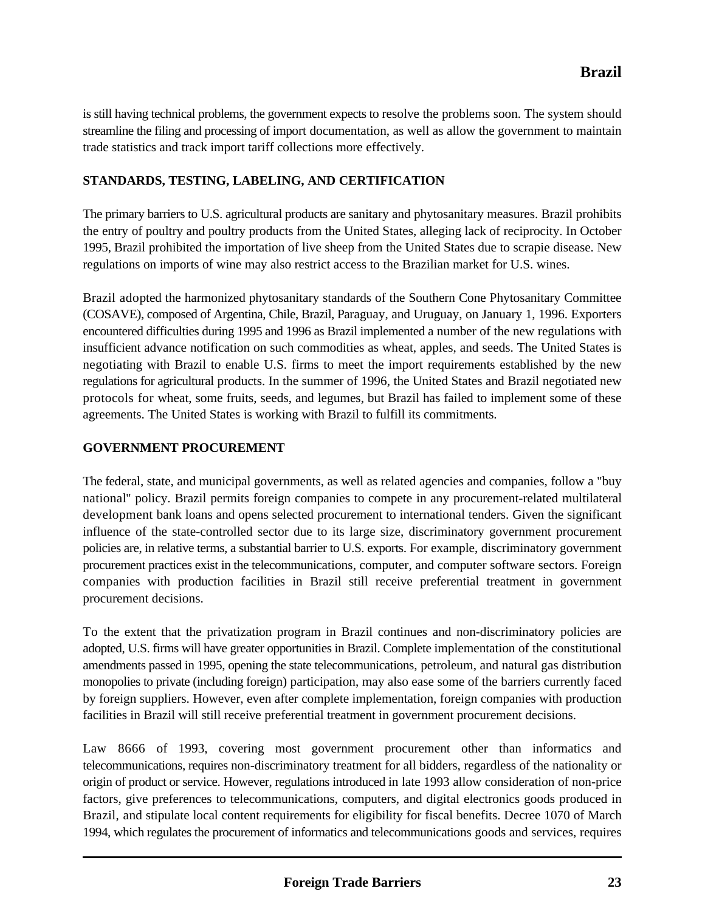is still having technical problems, the government expects to resolve the problems soon. The system should streamline the filing and processing of import documentation, as well as allow the government to maintain trade statistics and track import tariff collections more effectively.

# **STANDARDS, TESTING, LABELING, AND CERTIFICATION**

The primary barriers to U.S. agricultural products are sanitary and phytosanitary measures. Brazil prohibits the entry of poultry and poultry products from the United States, alleging lack of reciprocity. In October 1995, Brazil prohibited the importation of live sheep from the United States due to scrapie disease. New regulations on imports of wine may also restrict access to the Brazilian market for U.S. wines.

Brazil adopted the harmonized phytosanitary standards of the Southern Cone Phytosanitary Committee (COSAVE), composed of Argentina, Chile, Brazil, Paraguay, and Uruguay, on January 1, 1996. Exporters encountered difficulties during 1995 and 1996 as Brazil implemented a number of the new regulations with insufficient advance notification on such commodities as wheat, apples, and seeds. The United States is negotiating with Brazil to enable U.S. firms to meet the import requirements established by the new regulations for agricultural products. In the summer of 1996, the United States and Brazil negotiated new protocols for wheat, some fruits, seeds, and legumes, but Brazil has failed to implement some of these agreements. The United States is working with Brazil to fulfill its commitments.

#### **GOVERNMENT PROCUREMENT**

The federal, state, and municipal governments, as well as related agencies and companies, follow a "buy national" policy. Brazil permits foreign companies to compete in any procurement-related multilateral development bank loans and opens selected procurement to international tenders. Given the significant influence of the state-controlled sector due to its large size, discriminatory government procurement policies are, in relative terms, a substantial barrier to U.S. exports. For example, discriminatory government procurement practices exist in the telecommunications, computer, and computer software sectors. Foreign companies with production facilities in Brazil still receive preferential treatment in government procurement decisions.

To the extent that the privatization program in Brazil continues and non-discriminatory policies are adopted, U.S. firms will have greater opportunities in Brazil. Complete implementation of the constitutional amendments passed in 1995, opening the state telecommunications, petroleum, and natural gas distribution monopolies to private (including foreign) participation, may also ease some of the barriers currently faced by foreign suppliers. However, even after complete implementation, foreign companies with production facilities in Brazil will still receive preferential treatment in government procurement decisions.

Law 8666 of 1993, covering most government procurement other than informatics and telecommunications, requires non-discriminatory treatment for all bidders, regardless of the nationality or origin of product or service. However, regulations introduced in late 1993 allow consideration of non-price factors, give preferences to telecommunications, computers, and digital electronics goods produced in Brazil, and stipulate local content requirements for eligibility for fiscal benefits. Decree 1070 of March 1994, which regulates the procurement of informatics and telecommunications goods and services, requires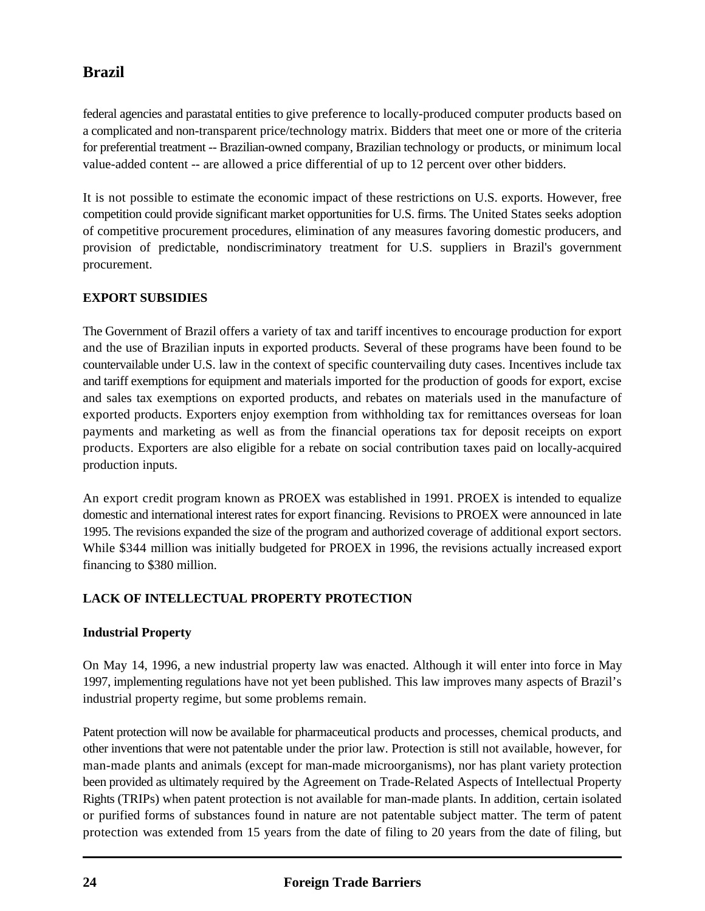federal agencies and parastatal entities to give preference to locally-produced computer products based on a complicated and non-transparent price/technology matrix. Bidders that meet one or more of the criteria for preferential treatment -- Brazilian-owned company, Brazilian technology or products, or minimum local value-added content -- are allowed a price differential of up to 12 percent over other bidders.

It is not possible to estimate the economic impact of these restrictions on U.S. exports. However, free competition could provide significant market opportunities for U.S. firms. The United States seeks adoption of competitive procurement procedures, elimination of any measures favoring domestic producers, and provision of predictable, nondiscriminatory treatment for U.S. suppliers in Brazil's government procurement.

# **EXPORT SUBSIDIES**

The Government of Brazil offers a variety of tax and tariff incentives to encourage production for export and the use of Brazilian inputs in exported products. Several of these programs have been found to be countervailable under U.S. law in the context of specific countervailing duty cases. Incentives include tax and tariff exemptions for equipment and materials imported for the production of goods for export, excise and sales tax exemptions on exported products, and rebates on materials used in the manufacture of exported products. Exporters enjoy exemption from withholding tax for remittances overseas for loan payments and marketing as well as from the financial operations tax for deposit receipts on export products. Exporters are also eligible for a rebate on social contribution taxes paid on locally-acquired production inputs.

An export credit program known as PROEX was established in 1991. PROEX is intended to equalize domestic and international interest rates for export financing. Revisions to PROEX were announced in late 1995. The revisions expanded the size of the program and authorized coverage of additional export sectors. While \$344 million was initially budgeted for PROEX in 1996, the revisions actually increased export financing to \$380 million.

# **LACK OF INTELLECTUAL PROPERTY PROTECTION**

# **Industrial Property**

On May 14, 1996, a new industrial property law was enacted. Although it will enter into force in May 1997, implementing regulations have not yet been published. This law improves many aspects of Brazil's industrial property regime, but some problems remain.

Patent protection will now be available for pharmaceutical products and processes, chemical products, and other inventions that were not patentable under the prior law. Protection is still not available, however, for man-made plants and animals (except for man-made microorganisms), nor has plant variety protection been provided as ultimately required by the Agreement on Trade-Related Aspects of Intellectual Property Rights (TRIPs) when patent protection is not available for man-made plants. In addition, certain isolated or purified forms of substances found in nature are not patentable subject matter. The term of patent protection was extended from 15 years from the date of filing to 20 years from the date of filing, but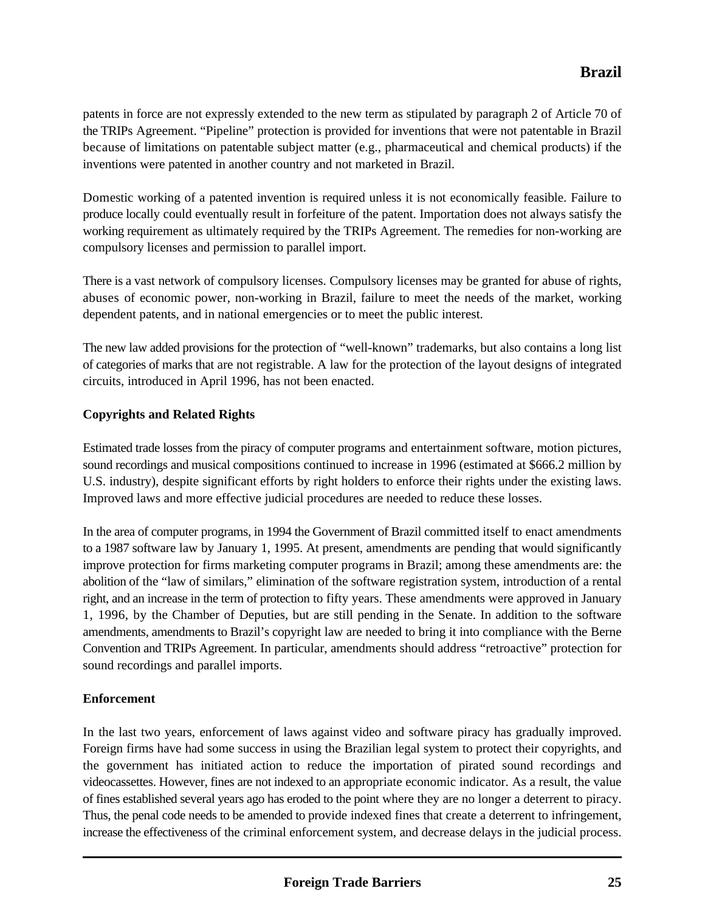patents in force are not expressly extended to the new term as stipulated by paragraph 2 of Article 70 of the TRIPs Agreement. "Pipeline" protection is provided for inventions that were not patentable in Brazil because of limitations on patentable subject matter (e.g., pharmaceutical and chemical products) if the inventions were patented in another country and not marketed in Brazil.

Domestic working of a patented invention is required unless it is not economically feasible. Failure to produce locally could eventually result in forfeiture of the patent. Importation does not always satisfy the working requirement as ultimately required by the TRIPs Agreement. The remedies for non-working are compulsory licenses and permission to parallel import.

There is a vast network of compulsory licenses. Compulsory licenses may be granted for abuse of rights, abuses of economic power, non-working in Brazil, failure to meet the needs of the market, working dependent patents, and in national emergencies or to meet the public interest.

The new law added provisions for the protection of "well-known" trademarks, but also contains a long list of categories of marks that are not registrable. A law for the protection of the layout designs of integrated circuits, introduced in April 1996, has not been enacted.

# **Copyrights and Related Rights**

Estimated trade losses from the piracy of computer programs and entertainment software, motion pictures, sound recordings and musical compositions continued to increase in 1996 (estimated at \$666.2 million by U.S. industry), despite significant efforts by right holders to enforce their rights under the existing laws. Improved laws and more effective judicial procedures are needed to reduce these losses.

In the area of computer programs, in 1994 the Government of Brazil committed itself to enact amendments to a 1987 software law by January 1, 1995. At present, amendments are pending that would significantly improve protection for firms marketing computer programs in Brazil; among these amendments are: the abolition of the "law of similars," elimination of the software registration system, introduction of a rental right, and an increase in the term of protection to fifty years. These amendments were approved in January 1, 1996, by the Chamber of Deputies, but are still pending in the Senate. In addition to the software amendments, amendments to Brazil's copyright law are needed to bring it into compliance with the Berne Convention and TRIPs Agreement. In particular, amendments should address "retroactive" protection for sound recordings and parallel imports.

# **Enforcement**

In the last two years, enforcement of laws against video and software piracy has gradually improved. Foreign firms have had some success in using the Brazilian legal system to protect their copyrights, and the government has initiated action to reduce the importation of pirated sound recordings and videocassettes. However, fines are not indexed to an appropriate economic indicator. As a result, the value of fines established several years ago has eroded to the point where they are no longer a deterrent to piracy. Thus, the penal code needs to be amended to provide indexed fines that create a deterrent to infringement, increase the effectiveness of the criminal enforcement system, and decrease delays in the judicial process.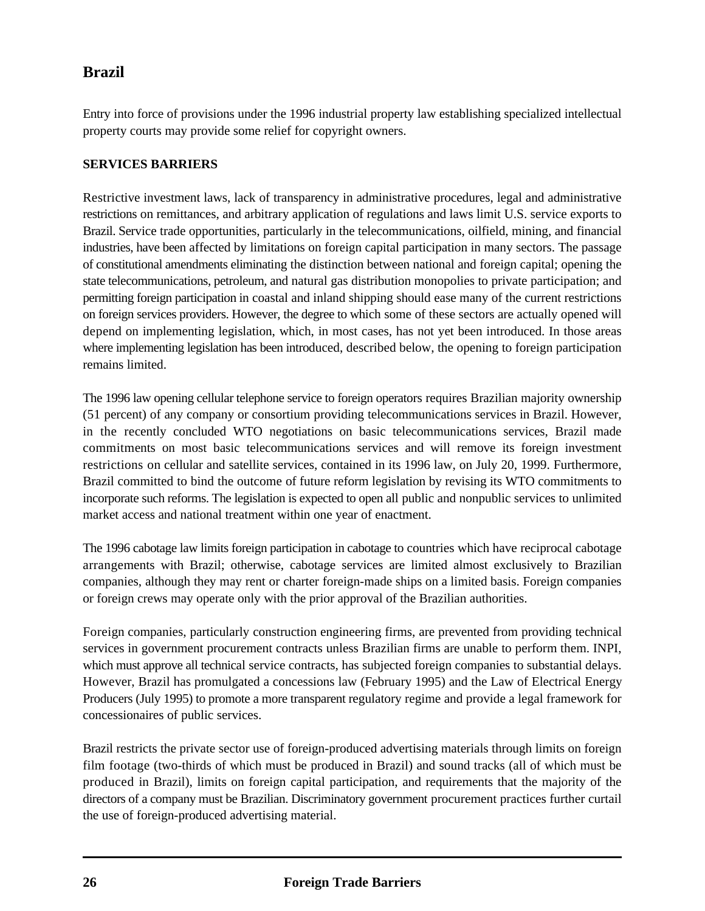Entry into force of provisions under the 1996 industrial property law establishing specialized intellectual property courts may provide some relief for copyright owners.

## **SERVICES BARRIERS**

Restrictive investment laws, lack of transparency in administrative procedures, legal and administrative restrictions on remittances, and arbitrary application of regulations and laws limit U.S. service exports to Brazil. Service trade opportunities, particularly in the telecommunications, oilfield, mining, and financial industries, have been affected by limitations on foreign capital participation in many sectors. The passage of constitutional amendments eliminating the distinction between national and foreign capital; opening the state telecommunications, petroleum, and natural gas distribution monopolies to private participation; and permitting foreign participation in coastal and inland shipping should ease many of the current restrictions on foreign services providers. However, the degree to which some of these sectors are actually opened will depend on implementing legislation, which, in most cases, has not yet been introduced. In those areas where implementing legislation has been introduced, described below, the opening to foreign participation remains limited.

The 1996 law opening cellular telephone service to foreign operators requires Brazilian majority ownership (51 percent) of any company or consortium providing telecommunications services in Brazil. However, in the recently concluded WTO negotiations on basic telecommunications services, Brazil made commitments on most basic telecommunications services and will remove its foreign investment restrictions on cellular and satellite services, contained in its 1996 law, on July 20, 1999. Furthermore, Brazil committed to bind the outcome of future reform legislation by revising its WTO commitments to incorporate such reforms. The legislation is expected to open all public and nonpublic services to unlimited market access and national treatment within one year of enactment.

The 1996 cabotage law limits foreign participation in cabotage to countries which have reciprocal cabotage arrangements with Brazil; otherwise, cabotage services are limited almost exclusively to Brazilian companies, although they may rent or charter foreign-made ships on a limited basis. Foreign companies or foreign crews may operate only with the prior approval of the Brazilian authorities.

Foreign companies, particularly construction engineering firms, are prevented from providing technical services in government procurement contracts unless Brazilian firms are unable to perform them. INPI, which must approve all technical service contracts, has subjected foreign companies to substantial delays. However, Brazil has promulgated a concessions law (February 1995) and the Law of Electrical Energy Producers (July 1995) to promote a more transparent regulatory regime and provide a legal framework for concessionaires of public services.

Brazil restricts the private sector use of foreign-produced advertising materials through limits on foreign film footage (two-thirds of which must be produced in Brazil) and sound tracks (all of which must be produced in Brazil), limits on foreign capital participation, and requirements that the majority of the directors of a company must be Brazilian. Discriminatory government procurement practices further curtail the use of foreign-produced advertising material.